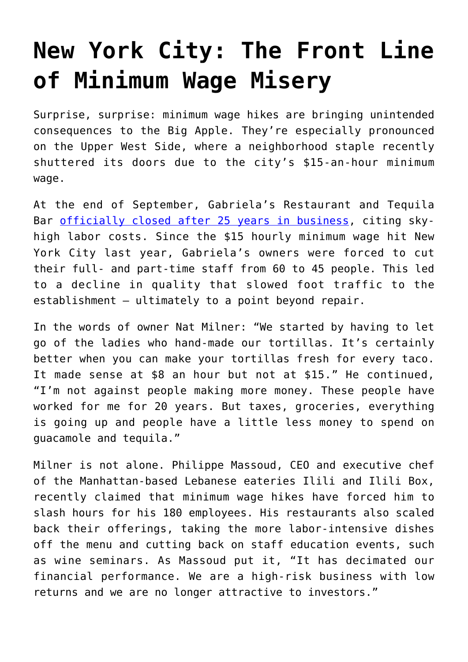## **[New York City: The Front Line](https://intellectualtakeout.org/2019/10/new-york-city-the-front-line-of-minimum-wage-misery/) [of Minimum Wage Misery](https://intellectualtakeout.org/2019/10/new-york-city-the-front-line-of-minimum-wage-misery/)**

Surprise, surprise: minimum wage hikes are bringing unintended consequences to the Big Apple. They're especially pronounced on the Upper West Side, where a neighborhood staple recently shuttered its doors due to the city's \$15-an-hour minimum wage.

At the end of September, Gabriela's Restaurant and Tequila Bar [officially closed after 25 years in business](https://nypost.com/2019/09/29/15-minimum-wage-hike-is-hitting-hurting-nyc-restaurants/), citing skyhigh labor costs. Since the \$15 hourly minimum wage hit New York City last year, Gabriela's owners were forced to cut their full- and part-time staff from 60 to 45 people. This led to a decline in quality that slowed foot traffic to the establishment – ultimately to a point beyond repair.

In the words of owner Nat Milner: "We started by having to let go of the ladies who hand-made our tortillas. It's certainly better when you can make your tortillas fresh for every taco. It made sense at \$8 an hour but not at \$15." He continued, "I'm not against people making more money. These people have worked for me for 20 years. But taxes, groceries, everything is going up and people have a little less money to spend on guacamole and tequila."

Milner is not alone. Philippe Massoud, CEO and executive chef of the Manhattan-based Lebanese eateries Ilili and Ilili Box, recently claimed that minimum wage hikes have forced him to slash hours for his 180 employees. His restaurants also scaled back their offerings, taking the more labor-intensive dishes off the menu and cutting back on staff education events, such as wine seminars. As Massoud put it, "It has decimated our financial performance. We are a high-risk business with low returns and we are no longer attractive to investors."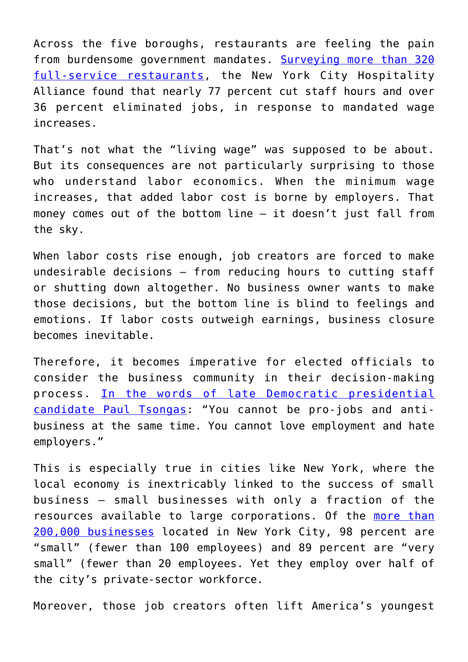Across the five boroughs, restaurants are feeling the pain from burdensome government mandates. [Surveying more than 320](https://thenycalliance.org/assets/documents/informationitems/021Ib.pdf) [full-service restaurants,](https://thenycalliance.org/assets/documents/informationitems/021Ib.pdf) the New York City Hospitality Alliance found that nearly 77 percent cut staff hours and over 36 percent eliminated jobs, in response to mandated wage increases.

That's not what the "living wage" was supposed to be about. But its consequences are not particularly surprising to those who understand labor economics. When the minimum wage increases, that added labor cost is borne by employers. That money comes out of the bottom line – it doesn't just fall from the sky.

When labor costs rise enough, job creators are forced to make undesirable decisions – from reducing hours to cutting staff or shutting down altogether. No business owner wants to make those decisions, but the bottom line is blind to feelings and emotions. If labor costs outweigh earnings, business closure becomes inevitable.

Therefore, it becomes imperative for elected officials to consider the business community in their decision-making process. [In the words of late Democratic presidential](https://www.wbur.org/news/2012/07/26/obama-you-didnt-build-that) [candidate Paul Tsongas:](https://www.wbur.org/news/2012/07/26/obama-you-didnt-build-that) "You cannot be pro-jobs and antibusiness at the same time. You cannot love employment and hate employers."

This is especially true in cities like New York, where the local economy is inextricably linked to the success of small business – small businesses with only a fraction of the resources available to large corporations. Of the [more than](https://www1.nyc.gov/assets/smallbizfirst/downloads/pdf/small-business-first-report.pdf) [200,000 businesses](https://www1.nyc.gov/assets/smallbizfirst/downloads/pdf/small-business-first-report.pdf) located in New York City, 98 percent are "small" (fewer than 100 employees) and 89 percent are "very small" (fewer than 20 employees. Yet they employ over half of the city's private-sector workforce.

Moreover, those job creators often lift America's youngest